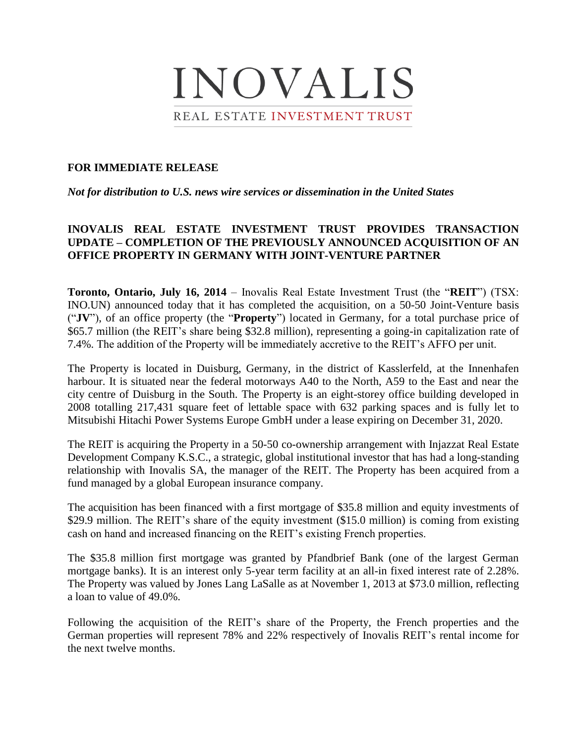

## **FOR IMMEDIATE RELEASE**

*Not for distribution to U.S. news wire services or dissemination in the United States*

# **INOVALIS REAL ESTATE INVESTMENT TRUST PROVIDES TRANSACTION UPDATE – COMPLETION OF THE PREVIOUSLY ANNOUNCED ACQUISITION OF AN OFFICE PROPERTY IN GERMANY WITH JOINT-VENTURE PARTNER**

**Toronto, Ontario, July 16, 2014** – Inovalis Real Estate Investment Trust (the "**REIT**") (TSX: INO.UN) announced today that it has completed the acquisition, on a 50-50 Joint-Venture basis ("**JV**"), of an office property (the "**Property**") located in Germany, for a total purchase price of \$65.7 million (the REIT's share being \$32.8 million), representing a going-in capitalization rate of 7.4%. The addition of the Property will be immediately accretive to the REIT's AFFO per unit.

The Property is located in Duisburg, Germany, in the district of Kasslerfeld, at the Innenhafen harbour. It is situated near the federal motorways A40 to the North, A59 to the East and near the city centre of Duisburg in the South. The Property is an eight-storey office building developed in 2008 totalling 217,431 square feet of lettable space with 632 parking spaces and is fully let to Mitsubishi Hitachi Power Systems Europe GmbH under a lease expiring on December 31, 2020.

The REIT is acquiring the Property in a 50-50 co-ownership arrangement with Injazzat Real Estate Development Company K.S.C., a strategic, global institutional investor that has had a long-standing relationship with Inovalis SA, the manager of the REIT. The Property has been acquired from a fund managed by a global European insurance company.

The acquisition has been financed with a first mortgage of \$35.8 million and equity investments of \$29.9 million. The REIT's share of the equity investment (\$15.0 million) is coming from existing cash on hand and increased financing on the REIT's existing French properties.

The \$35.8 million first mortgage was granted by Pfandbrief Bank (one of the largest German mortgage banks). It is an interest only 5-year term facility at an all-in fixed interest rate of 2.28%. The Property was valued by Jones Lang LaSalle as at November 1, 2013 at \$73.0 million, reflecting a loan to value of 49.0%.

Following the acquisition of the REIT's share of the Property, the French properties and the German properties will represent 78% and 22% respectively of Inovalis REIT's rental income for the next twelve months.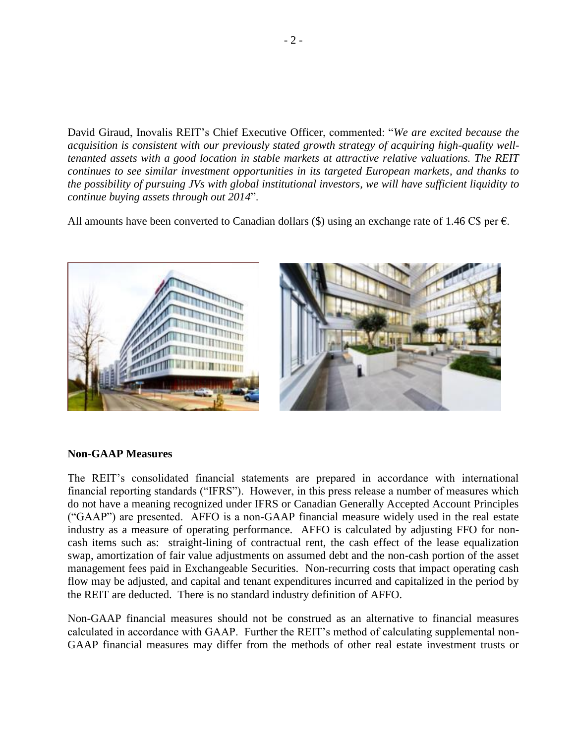David Giraud, Inovalis REIT's Chief Executive Officer, commented: "*We are excited because the acquisition is consistent with our previously stated growth strategy of acquiring high-quality welltenanted assets with a good location in stable markets at attractive relative valuations. The REIT continues to see similar investment opportunities in its targeted European markets, and thanks to the possibility of pursuing JVs with global institutional investors, we will have sufficient liquidity to continue buying assets through out 2014*".

All amounts have been converted to Canadian dollars  $(\$)$  using an exchange rate of 1.46 C\$ per  $\epsilon$ .



### **Non-GAAP Measures**

The REIT's consolidated financial statements are prepared in accordance with international financial reporting standards ("IFRS"). However, in this press release a number of measures which do not have a meaning recognized under IFRS or Canadian Generally Accepted Account Principles ("GAAP") are presented. AFFO is a non-GAAP financial measure widely used in the real estate industry as a measure of operating performance. AFFO is calculated by adjusting FFO for noncash items such as: straight-lining of contractual rent, the cash effect of the lease equalization swap, amortization of fair value adjustments on assumed debt and the non-cash portion of the asset management fees paid in Exchangeable Securities. Non-recurring costs that impact operating cash flow may be adjusted, and capital and tenant expenditures incurred and capitalized in the period by the REIT are deducted. There is no standard industry definition of AFFO.

Non-GAAP financial measures should not be construed as an alternative to financial measures calculated in accordance with GAAP. Further the REIT's method of calculating supplemental non-GAAP financial measures may differ from the methods of other real estate investment trusts or